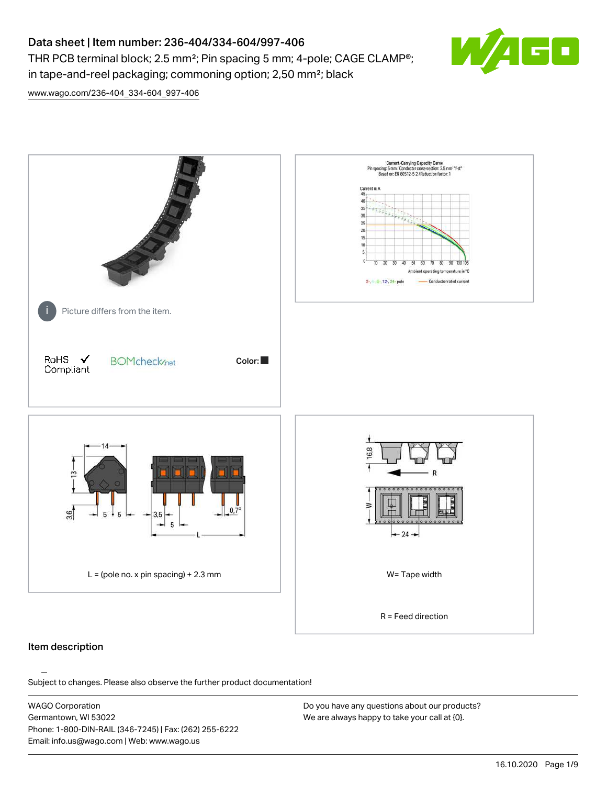

THR PCB terminal block; 2.5 mm²; Pin spacing 5 mm; 4-pole; CAGE CLAMP®; in tape-and-reel packaging; commoning option; 2,50 mm²; black

[www.wago.com/236-404\\_334-604\\_997-406](http://www.wago.com/236-404_334-604_997-406)



## Item description

Subject to changes. Please also observe the further product documentation!

WAGO Corporation Germantown, WI 53022 Phone: 1-800-DIN-RAIL (346-7245) | Fax: (262) 255-6222 Email: info.us@wago.com | Web: www.wago.us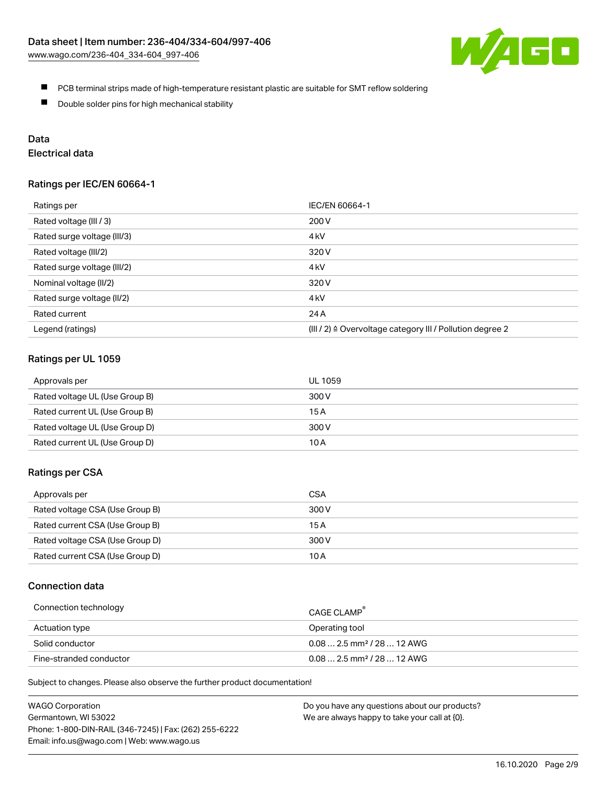

- **PCB** terminal strips made of high-temperature resistant plastic are suitable for SMT reflow soldering
- $\blacksquare$ Double solder pins for high mechanical stability

## Data

# Electrical data

## Ratings per IEC/EN 60664-1

| Ratings per                 | IEC/EN 60664-1                                                        |
|-----------------------------|-----------------------------------------------------------------------|
| Rated voltage (III / 3)     | 200 V                                                                 |
| Rated surge voltage (III/3) | 4 <sub>k</sub> V                                                      |
| Rated voltage (III/2)       | 320 V                                                                 |
| Rated surge voltage (III/2) | 4 <sub>kV</sub>                                                       |
| Nominal voltage (II/2)      | 320 V                                                                 |
| Rated surge voltage (II/2)  | 4 <sub>k</sub> V                                                      |
| Rated current               | 24 A                                                                  |
| Legend (ratings)            | $(III / 2)$ $\triangle$ Overvoltage category III / Pollution degree 2 |

## Ratings per UL 1059

| Approvals per                  | UL 1059 |
|--------------------------------|---------|
| Rated voltage UL (Use Group B) | 300 V   |
| Rated current UL (Use Group B) | 15 A    |
| Rated voltage UL (Use Group D) | 300 V   |
| Rated current UL (Use Group D) | 10 A    |

## Ratings per CSA

| Approvals per                   | CSA   |
|---------------------------------|-------|
| Rated voltage CSA (Use Group B) | 300 V |
| Rated current CSA (Use Group B) | 15 A  |
| Rated voltage CSA (Use Group D) | 300 V |
| Rated current CSA (Use Group D) | 10 A  |

## Connection data

| Connection technology   | CAGE CLAMP <sup>®</sup>                 |
|-------------------------|-----------------------------------------|
| Actuation type          | Operating tool                          |
| Solid conductor         | $0.08$ 2.5 mm <sup>2</sup> / 28  12 AWG |
| Fine-stranded conductor | $0.082.5$ mm <sup>2</sup> / 28  12 AWG  |

Subject to changes. Please also observe the further product documentation!

| <b>WAGO Corporation</b>                                | Do you have any questions about our products? |
|--------------------------------------------------------|-----------------------------------------------|
| Germantown, WI 53022                                   | We are always happy to take your call at {0}. |
| Phone: 1-800-DIN-RAIL (346-7245)   Fax: (262) 255-6222 |                                               |
| Email: info.us@wago.com   Web: www.wago.us             |                                               |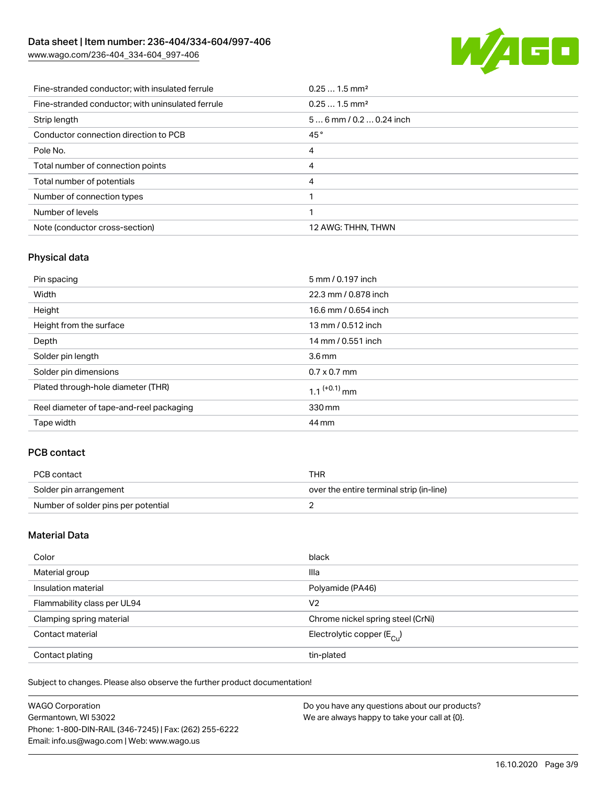[www.wago.com/236-404\\_334-604\\_997-406](http://www.wago.com/236-404_334-604_997-406)



| Fine-stranded conductor: with insulated ferrule   | $0.251.5$ mm <sup>2</sup> |
|---------------------------------------------------|---------------------------|
| Fine-stranded conductor; with uninsulated ferrule | $0.251.5$ mm <sup>2</sup> |
| Strip length                                      | $56$ mm / 0.2  0.24 inch  |
| Conductor connection direction to PCB             | 45°                       |
| Pole No.                                          | 4                         |
| Total number of connection points                 | 4                         |
| Total number of potentials                        | 4                         |
| Number of connection types                        |                           |
| Number of levels                                  |                           |
| Note (conductor cross-section)                    | 12 AWG: THHN, THWN        |

# Physical data

| Pin spacing                              | 5 mm / 0.197 inch          |
|------------------------------------------|----------------------------|
| Width                                    | 22.3 mm / 0.878 inch       |
| Height                                   | 16.6 mm / 0.654 inch       |
| Height from the surface                  | 13 mm / 0.512 inch         |
| Depth                                    | 14 mm / 0.551 inch         |
| Solder pin length                        | 3.6 <sub>mm</sub>          |
| Solder pin dimensions                    | $0.7 \times 0.7$ mm        |
| Plated through-hole diameter (THR)       | $1.1$ <sup>(+0.1)</sup> mm |
| Reel diameter of tape-and-reel packaging | 330 mm                     |
| Tape width                               | 44 mm                      |

## PCB contact

| PCB contact                         | <b>THR</b>                               |
|-------------------------------------|------------------------------------------|
| Solder pin arrangement              | over the entire terminal strip (in-line) |
| Number of solder pins per potential |                                          |

## Material Data

| Color                       | black                                   |
|-----------------------------|-----------------------------------------|
| Material group              | Illa                                    |
| Insulation material         | Polyamide (PA46)                        |
| Flammability class per UL94 | V <sub>2</sub>                          |
| Clamping spring material    | Chrome nickel spring steel (CrNi)       |
| Contact material            | Electrolytic copper ( $E_{\text{Cu}}$ ) |
| Contact plating             | tin-plated                              |

Subject to changes. Please also observe the further product documentation!

| <b>WAGO Corporation</b>                                | Do you have any questions about our products? |
|--------------------------------------------------------|-----------------------------------------------|
| Germantown, WI 53022                                   | We are always happy to take your call at {0}. |
| Phone: 1-800-DIN-RAIL (346-7245)   Fax: (262) 255-6222 |                                               |
| Email: info.us@wago.com   Web: www.wago.us             |                                               |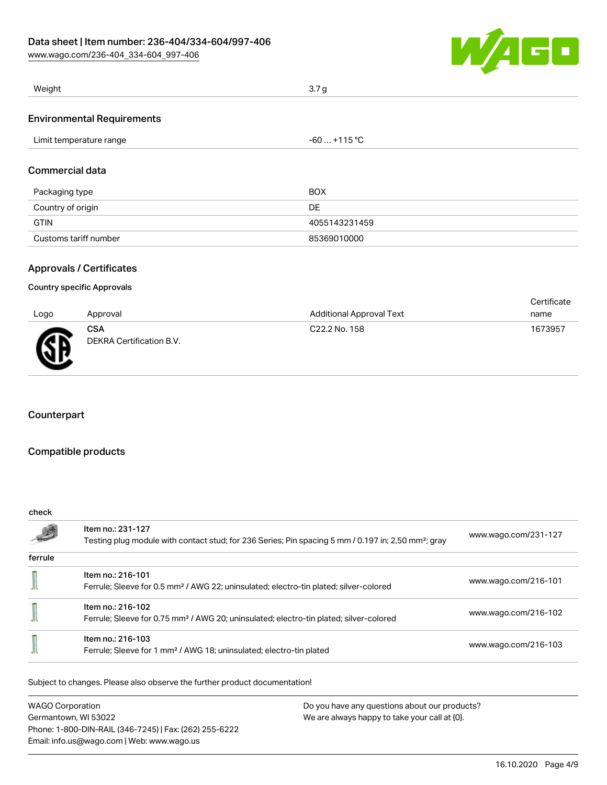[www.wago.com/236-404\\_334-604\\_997-406](http://www.wago.com/236-404_334-604_997-406)



| Weight                            | 3.7 <sub>g</sub> |  |
|-----------------------------------|------------------|--|
|                                   |                  |  |
| <b>Environmental Requirements</b> |                  |  |
| Limit temperature range           | $-60+115$ °C     |  |
| Commercial data                   |                  |  |
| Packaging type                    | <b>BOX</b>       |  |
| Country of origin                 | <b>DE</b>        |  |
| <b>GTIN</b>                       | 4055143231459    |  |
| Customs tariff number             | 85369010000      |  |

## Approvals / Certificates

#### Country specific Approvals

| Logo      | Approval                               | <b>Additional Approval Text</b> | Certificate<br>name |
|-----------|----------------------------------------|---------------------------------|---------------------|
| <b>RF</b> | <b>CSA</b><br>DEKRA Certification B.V. | C22.2 No. 158                   | 1673957             |

## **Counterpart**

## Compatible products

| check   |                                                                                                                                      |                      |  |  |
|---------|--------------------------------------------------------------------------------------------------------------------------------------|----------------------|--|--|
| -       | Item no.: 231-127<br>Testing plug module with contact stud; for 236 Series; Pin spacing 5 mm / 0.197 in; 2,50 mm <sup>2</sup> ; gray | www.wago.com/231-127 |  |  |
| ferrule |                                                                                                                                      |                      |  |  |
|         | Item no.: 216-101<br>Ferrule; Sleeve for 0.5 mm <sup>2</sup> / AWG 22; uninsulated; electro-tin plated; silver-colored               | www.wago.com/216-101 |  |  |
|         | Item no.: 216-102<br>Ferrule; Sleeve for 0.75 mm <sup>2</sup> / AWG 20; uninsulated; electro-tin plated; silver-colored              | www.wago.com/216-102 |  |  |
|         | Item no.: 216-103<br>Ferrule; Sleeve for 1 mm <sup>2</sup> / AWG 18; uninsulated; electro-tin plated                                 | www.wago.com/216-103 |  |  |

Subject to changes. Please also observe the further product documentation!

WAGO Corporation Germantown, WI 53022 Phone: 1-800-DIN-RAIL (346-7245) | Fax: (262) 255-6222 Email: info.us@wago.com | Web: www.wago.us Do you have any questions about our products? We are always happy to take your call at {0}.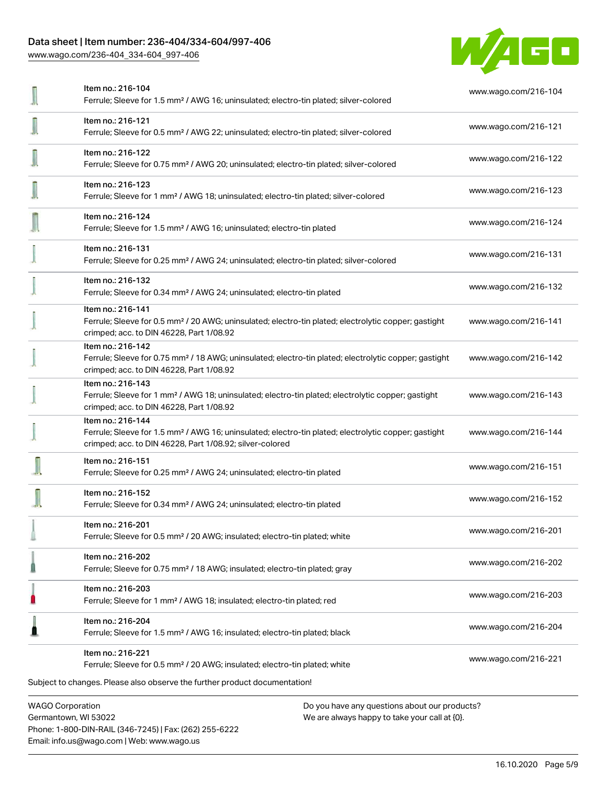[www.wago.com/236-404\\_334-604\\_997-406](http://www.wago.com/236-404_334-604_997-406)



| Item no.: 216-104<br>Ferrule; Sleeve for 1.5 mm <sup>2</sup> / AWG 16; uninsulated; electro-tin plated; silver-colored                                                                            | www.wago.com/216-104 |
|---------------------------------------------------------------------------------------------------------------------------------------------------------------------------------------------------|----------------------|
| Item no.: 216-121<br>Ferrule; Sleeve for 0.5 mm <sup>2</sup> / AWG 22; uninsulated; electro-tin plated; silver-colored                                                                            | www.wago.com/216-121 |
| Item no.: 216-122<br>Ferrule; Sleeve for 0.75 mm <sup>2</sup> / AWG 20; uninsulated; electro-tin plated; silver-colored                                                                           | www.wago.com/216-122 |
| Item no.: 216-123<br>Ferrule; Sleeve for 1 mm <sup>2</sup> / AWG 18; uninsulated; electro-tin plated; silver-colored                                                                              | www.wago.com/216-123 |
| Item no.: 216-124<br>Ferrule; Sleeve for 1.5 mm <sup>2</sup> / AWG 16; uninsulated; electro-tin plated                                                                                            | www.wago.com/216-124 |
| Item no.: 216-131<br>Ferrule; Sleeve for 0.25 mm <sup>2</sup> / AWG 24; uninsulated; electro-tin plated; silver-colored                                                                           | www.wago.com/216-131 |
| Item no.: 216-132<br>Ferrule; Sleeve for 0.34 mm <sup>2</sup> / AWG 24; uninsulated; electro-tin plated                                                                                           | www.wago.com/216-132 |
| Item no.: 216-141<br>Ferrule; Sleeve for 0.5 mm <sup>2</sup> / 20 AWG; uninsulated; electro-tin plated; electrolytic copper; gastight<br>crimped; acc. to DIN 46228, Part 1/08.92                 | www.wago.com/216-141 |
| Item no.: 216-142<br>Ferrule; Sleeve for 0.75 mm <sup>2</sup> / 18 AWG; uninsulated; electro-tin plated; electrolytic copper; gastight<br>crimped; acc. to DIN 46228, Part 1/08.92                | www.wago.com/216-142 |
| Item no.: 216-143<br>Ferrule; Sleeve for 1 mm <sup>2</sup> / AWG 18; uninsulated; electro-tin plated; electrolytic copper; gastight<br>crimped; acc. to DIN 46228, Part 1/08.92                   | www.wago.com/216-143 |
| Item no.: 216-144<br>Ferrule; Sleeve for 1.5 mm <sup>2</sup> / AWG 16; uninsulated; electro-tin plated; electrolytic copper; gastight<br>crimped; acc. to DIN 46228, Part 1/08.92; silver-colored | www.wago.com/216-144 |
| Item no.: 216-151<br>Ferrule; Sleeve for 0.25 mm <sup>2</sup> / AWG 24; uninsulated; electro-tin plated                                                                                           | www.wago.com/216-151 |
| Item no.: 216-152<br>Ferrule; Sleeve for 0.34 mm <sup>2</sup> / AWG 24; uninsulated; electro-tin plated                                                                                           | www.wago.com/216-152 |
| ltem no.: 216-201<br>Ferrule; Sleeve for 0.5 mm <sup>2</sup> / 20 AWG; insulated; electro-tin plated; white                                                                                       | www.wago.com/216-201 |
| Item no.: 216-202<br>Ferrule; Sleeve for 0.75 mm <sup>2</sup> / 18 AWG; insulated; electro-tin plated; gray                                                                                       | www.wago.com/216-202 |
| Item no.: 216-203<br>Ferrule; Sleeve for 1 mm <sup>2</sup> / AWG 18; insulated; electro-tin plated; red                                                                                           | www.wago.com/216-203 |
| Item no.: 216-204<br>Ferrule; Sleeve for 1.5 mm <sup>2</sup> / AWG 16; insulated; electro-tin plated; black                                                                                       | www.wago.com/216-204 |
| Item no.: 216-221<br>Ferrule; Sleeve for 0.5 mm <sup>2</sup> / 20 AWG; insulated; electro-tin plated; white                                                                                       | www.wago.com/216-221 |
| Subject to changes. Please also observe the further product documentation!                                                                                                                        |                      |
| <b>WAGO Corporation</b><br>Do you have any questions about our products?                                                                                                                          |                      |

Germantown, WI 53022 Phone: 1-800-DIN-RAIL (346-7245) | Fax: (262) 255-6222 Email: info.us@wago.com | Web: www.wago.us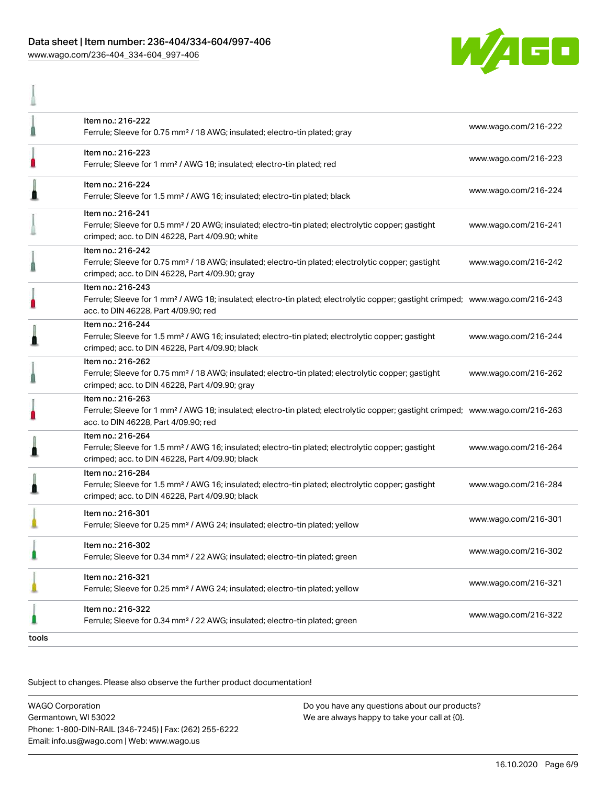## Data sheet | Item number: 236-404/334-604/997-406 [www.wago.com/236-404\\_334-604\\_997-406](http://www.wago.com/236-404_334-604_997-406)

A



|       | Item no.: 216-222<br>Ferrule; Sleeve for 0.75 mm <sup>2</sup> / 18 AWG; insulated; electro-tin plated; gray                                                                                             | www.wago.com/216-222 |
|-------|---------------------------------------------------------------------------------------------------------------------------------------------------------------------------------------------------------|----------------------|
|       | Item no.: 216-223<br>Ferrule; Sleeve for 1 mm <sup>2</sup> / AWG 18; insulated; electro-tin plated; red                                                                                                 | www.wago.com/216-223 |
|       | Item no.: 216-224<br>Ferrule; Sleeve for 1.5 mm <sup>2</sup> / AWG 16; insulated; electro-tin plated; black                                                                                             | www.wago.com/216-224 |
|       | Item no.: 216-241<br>Ferrule; Sleeve for 0.5 mm <sup>2</sup> / 20 AWG; insulated; electro-tin plated; electrolytic copper; gastight<br>crimped; acc. to DIN 46228, Part 4/09.90; white                  | www.wago.com/216-241 |
|       | Item no.: 216-242<br>Ferrule; Sleeve for 0.75 mm <sup>2</sup> / 18 AWG; insulated; electro-tin plated; electrolytic copper; gastight<br>crimped; acc. to DIN 46228, Part 4/09.90; gray                  | www.wago.com/216-242 |
|       | Item no.: 216-243<br>Ferrule; Sleeve for 1 mm <sup>2</sup> / AWG 18; insulated; electro-tin plated; electrolytic copper; gastight crimped; www.wago.com/216-243<br>acc. to DIN 46228, Part 4/09.90; red |                      |
|       | Item no.: 216-244<br>Ferrule; Sleeve for 1.5 mm <sup>2</sup> / AWG 16; insulated; electro-tin plated; electrolytic copper; gastight<br>crimped; acc. to DIN 46228, Part 4/09.90; black                  | www.wago.com/216-244 |
|       | Item no.: 216-262<br>Ferrule; Sleeve for 0.75 mm <sup>2</sup> / 18 AWG; insulated; electro-tin plated; electrolytic copper; gastight<br>crimped; acc. to DIN 46228, Part 4/09.90; gray                  | www.wago.com/216-262 |
|       | Item no.: 216-263<br>Ferrule; Sleeve for 1 mm <sup>2</sup> / AWG 18; insulated; electro-tin plated; electrolytic copper; gastight crimped; www.wago.com/216-263<br>acc. to DIN 46228, Part 4/09.90; red |                      |
|       | Item no.: 216-264<br>Ferrule; Sleeve for 1.5 mm <sup>2</sup> / AWG 16; insulated; electro-tin plated; electrolytic copper; gastight<br>crimped; acc. to DIN 46228, Part 4/09.90; black                  | www.wago.com/216-264 |
|       | Item no.: 216-284<br>Ferrule; Sleeve for 1.5 mm <sup>2</sup> / AWG 16; insulated; electro-tin plated; electrolytic copper; gastight<br>crimped; acc. to DIN 46228, Part 4/09.90; black                  | www.wago.com/216-284 |
|       | Item no.: 216-301<br>Ferrule; Sleeve for 0.25 mm <sup>2</sup> / AWG 24; insulated; electro-tin plated; yellow                                                                                           | www.wago.com/216-301 |
|       | Item no.: 216-302<br>Ferrule; Sleeve for 0.34 mm <sup>2</sup> / 22 AWG; insulated; electro-tin plated; green                                                                                            | www.wago.com/216-302 |
|       | Item no.: 216-321<br>Ferrule; Sleeve for 0.25 mm <sup>2</sup> / AWG 24; insulated; electro-tin plated; yellow                                                                                           | www.wago.com/216-321 |
|       | Item no.: 216-322<br>Ferrule; Sleeve for 0.34 mm <sup>2</sup> / 22 AWG; insulated; electro-tin plated; green                                                                                            | www.wago.com/216-322 |
| tools |                                                                                                                                                                                                         |                      |

Subject to changes. Please also observe the further product documentation!

WAGO Corporation Germantown, WI 53022 Phone: 1-800-DIN-RAIL (346-7245) | Fax: (262) 255-6222 Email: info.us@wago.com | Web: www.wago.us Do you have any questions about our products? We are always happy to take your call at {0}.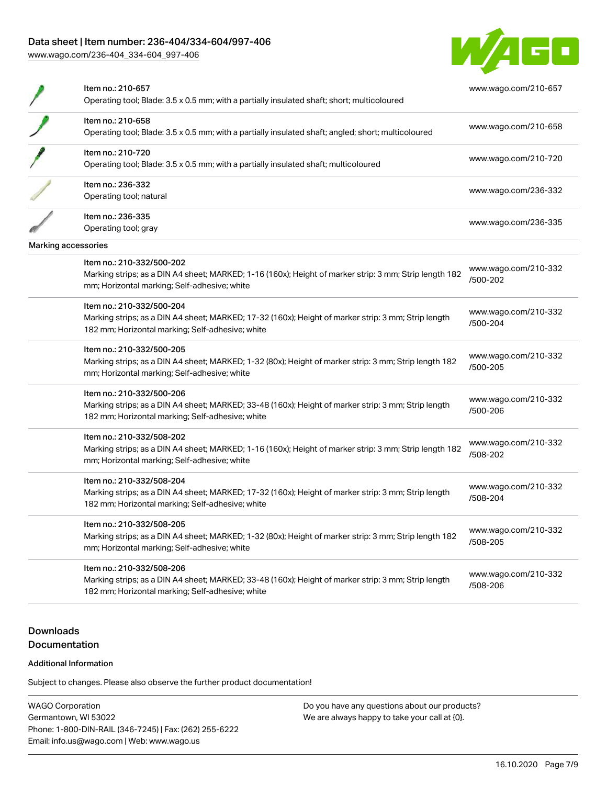[www.wago.com/236-404\\_334-604\\_997-406](http://www.wago.com/236-404_334-604_997-406)



|                     | Item no.: 210-657<br>Operating tool; Blade: 3.5 x 0.5 mm; with a partially insulated shaft; short; multicoloured                                                                     | www.wago.com/210-657             |
|---------------------|--------------------------------------------------------------------------------------------------------------------------------------------------------------------------------------|----------------------------------|
|                     | Item no.: 210-658<br>Operating tool; Blade: 3.5 x 0.5 mm; with a partially insulated shaft; angled; short; multicoloured                                                             | www.wago.com/210-658             |
|                     | Item no.: 210-720<br>Operating tool; Blade: 3.5 x 0.5 mm; with a partially insulated shaft; multicoloured                                                                            | www.wago.com/210-720             |
|                     | Item no.: 236-332<br>Operating tool; natural                                                                                                                                         | www.wago.com/236-332             |
|                     | Item no.: 236-335<br>Operating tool; gray                                                                                                                                            | www.wago.com/236-335             |
| Marking accessories |                                                                                                                                                                                      |                                  |
|                     | Item no.: 210-332/500-202<br>Marking strips; as a DIN A4 sheet; MARKED; 1-16 (160x); Height of marker strip: 3 mm; Strip length 182<br>mm; Horizontal marking; Self-adhesive; white  | www.wago.com/210-332<br>/500-202 |
|                     | Item no.: 210-332/500-204<br>Marking strips; as a DIN A4 sheet; MARKED; 17-32 (160x); Height of marker strip: 3 mm; Strip length<br>182 mm; Horizontal marking; Self-adhesive; white | www.wago.com/210-332<br>/500-204 |
|                     | Item no.: 210-332/500-205<br>Marking strips; as a DIN A4 sheet; MARKED; 1-32 (80x); Height of marker strip: 3 mm; Strip length 182<br>mm; Horizontal marking; Self-adhesive; white   | www.wago.com/210-332<br>/500-205 |
|                     | Item no.: 210-332/500-206<br>Marking strips; as a DIN A4 sheet; MARKED; 33-48 (160x); Height of marker strip: 3 mm; Strip length<br>182 mm; Horizontal marking; Self-adhesive; white | www.wago.com/210-332<br>/500-206 |
|                     | Item no.: 210-332/508-202<br>Marking strips; as a DIN A4 sheet; MARKED; 1-16 (160x); Height of marker strip: 3 mm; Strip length 182<br>mm; Horizontal marking; Self-adhesive; white  | www.wago.com/210-332<br>/508-202 |
|                     | Item no.: 210-332/508-204<br>Marking strips; as a DIN A4 sheet; MARKED; 17-32 (160x); Height of marker strip: 3 mm; Strip length<br>182 mm; Horizontal marking; Self-adhesive; white | www.wago.com/210-332<br>/508-204 |
|                     | Item no.: 210-332/508-205<br>Marking strips; as a DIN A4 sheet; MARKED; 1-32 (80x); Height of marker strip: 3 mm; Strip length 182<br>mm; Horizontal marking; Self-adhesive; white   | www.wago.com/210-332<br>/508-205 |
|                     | Item no.: 210-332/508-206<br>Marking strips; as a DIN A4 sheet; MARKED; 33-48 (160x); Height of marker strip: 3 mm; Strip length<br>182 mm; Horizontal marking; Self-adhesive; white | www.wago.com/210-332<br>/508-206 |
|                     |                                                                                                                                                                                      |                                  |

# **Downloads Documentation**

#### Additional Information

Subject to changes. Please also observe the further product documentation!

WAGO Corporation Germantown, WI 53022 Phone: 1-800-DIN-RAIL (346-7245) | Fax: (262) 255-6222 Email: info.us@wago.com | Web: www.wago.us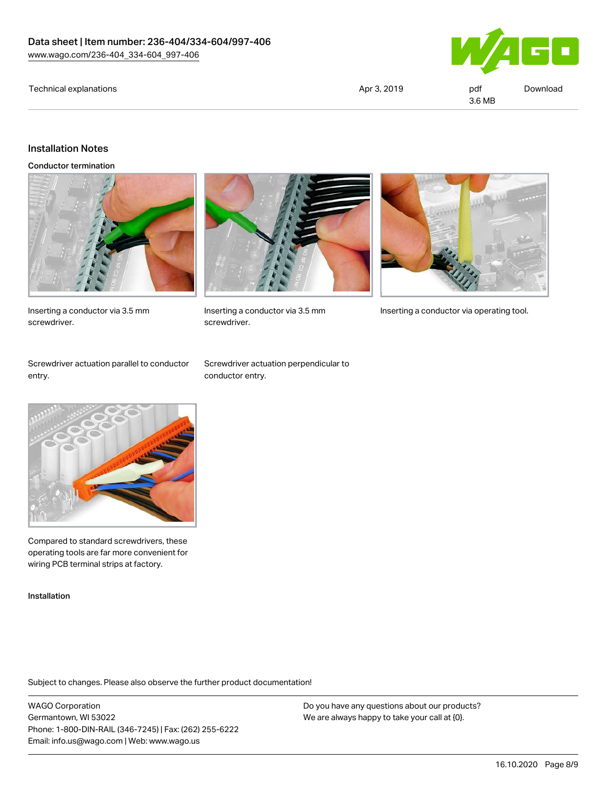#### Technical explanations and political explanations and political explanations and political explanations and political explanations and political explanations and political explanations and political explanations and politi



3.6 MB

#### Installation Notes

Conductor termination



Inserting a conductor via 3.5 mm screwdriver.



screwdriver.



Inserting a conductor via 3.5 mm Inserting a conductor via operating tool.

Screwdriver actuation parallel to conductor entry.

Screwdriver actuation perpendicular to conductor entry.



Compared to standard screwdrivers, these operating tools are far more convenient for wiring PCB terminal strips at factory.

Installation

Subject to changes. Please also observe the further product documentation!

WAGO Corporation Germantown, WI 53022 Phone: 1-800-DIN-RAIL (346-7245) | Fax: (262) 255-6222 Email: info.us@wago.com | Web: www.wago.us